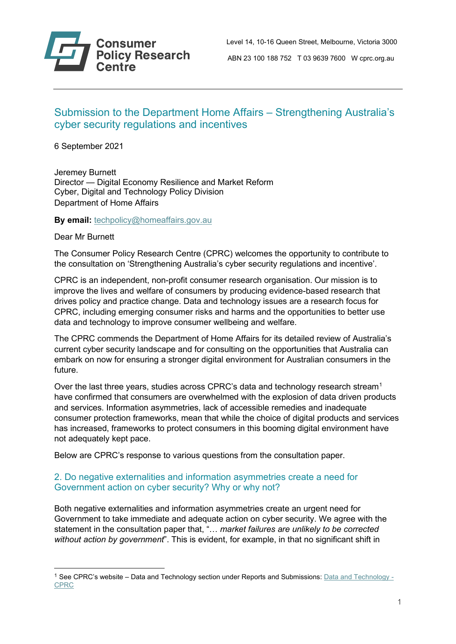

# Submission to the Department Home Affairs – Strengthening Australia's cyber security regulations and incentives

6 September 2021

Jeremey Burnett Director — Digital Economy Resilience and Market Reform Cyber, Digital and Technology Policy Division Department of Home Affairs

**By email:** [techpolicy@homeaffairs.gov.au](mailto:techpolicy@homeaffairs.gov.au)

Dear Mr Burnett

The Consumer Policy Research Centre (CPRC) welcomes the opportunity to contribute to the consultation on 'Strengthening Australia's cyber security regulations and incentive'.

CPRC is an independent, non-profit consumer research organisation. Our mission is to improve the lives and welfare of consumers by producing evidence-based research that drives policy and practice change. Data and technology issues are a research focus for CPRC, including emerging consumer risks and harms and the opportunities to better use data and technology to improve consumer wellbeing and welfare.

The CPRC commends the Department of Home Affairs for its detailed review of Australia's current cyber security landscape and for consulting on the opportunities that Australia can embark on now for ensuring a stronger digital environment for Australian consumers in the future.

Over the last three years, studies across CPRC's data and technology research stream<sup>[1](#page-0-0)</sup> have confirmed that consumers are overwhelmed with the explosion of data driven products and services. Information asymmetries, lack of accessible remedies and inadequate consumer protection frameworks, mean that while the choice of digital products and services has increased, frameworks to protect consumers in this booming digital environment have not adequately kept pace.

Below are CPRC's response to various questions from the consultation paper.

### 2. Do negative externalities and information asymmetries create a need for Government action on cyber security? Why or why not?

Both negative externalities and information asymmetries create an urgent need for Government to take immediate and adequate action on cyber security. We agree with the statement in the consultation paper that, "… *market failures are unlikely to be corrected without action by government*". This is evident, for example, in that no significant shift in

<span id="page-0-0"></span><sup>&</sup>lt;sup>1</sup> See CPRC's website – Data and Technology section under Reports and Submissions: [Data and Technology -](https://cprc.org.au/data-and-technology/) [CPRC](https://cprc.org.au/data-and-technology/)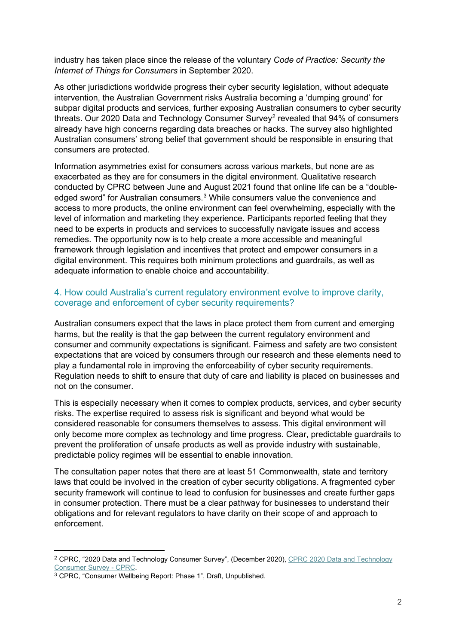industry has taken place since the release of the voluntary *Code of Practice: Security the Internet of Things for Consumers* in September 2020.

As other jurisdictions worldwide progress their cyber security legislation, without adequate intervention, the Australian Government risks Australia becoming a 'dumping ground' for subpar digital products and services, further exposing Australian consumers to cyber security threats. Our [2](#page-1-0)020 Data and Technology Consumer Survey<sup>2</sup> revealed that 94% of consumers already have high concerns regarding data breaches or hacks. The survey also highlighted Australian consumers' strong belief that government should be responsible in ensuring that consumers are protected.

Information asymmetries exist for consumers across various markets, but none are as exacerbated as they are for consumers in the digital environment. Qualitative research conducted by CPRC between June and August 2021 found that online life can be a "double-edged sword" for Australian consumers.<sup>[3](#page-1-1)</sup> While consumers value the convenience and access to more products, the online environment can feel overwhelming, especially with the level of information and marketing they experience. Participants reported feeling that they need to be experts in products and services to successfully navigate issues and access remedies. The opportunity now is to help create a more accessible and meaningful framework through legislation and incentives that protect and empower consumers in a digital environment. This requires both minimum protections and guardrails, as well as adequate information to enable choice and accountability.

#### 4. How could Australia's current regulatory environment evolve to improve clarity, coverage and enforcement of cyber security requirements?

Australian consumers expect that the laws in place protect them from current and emerging harms, but the reality is that the gap between the current regulatory environment and consumer and community expectations is significant. Fairness and safety are two consistent expectations that are voiced by consumers through our research and these elements need to play a fundamental role in improving the enforceability of cyber security requirements. Regulation needs to shift to ensure that duty of care and liability is placed on businesses and not on the consumer.

This is especially necessary when it comes to complex products, services, and cyber security risks. The expertise required to assess risk is significant and beyond what would be considered reasonable for consumers themselves to assess. This digital environment will only become more complex as technology and time progress. Clear, predictable guardrails to prevent the proliferation of unsafe products as well as provide industry with sustainable, predictable policy regimes will be essential to enable innovation.

The consultation paper notes that there are at least 51 Commonwealth, state and territory laws that could be involved in the creation of cyber security obligations. A fragmented cyber security framework will continue to lead to confusion for businesses and create further gaps in consumer protection. There must be a clear pathway for businesses to understand their obligations and for relevant regulators to have clarity on their scope of and approach to enforcement.

<span id="page-1-0"></span><sup>2</sup> CPRC, "2020 Data and Technology Consumer Survey", (December 2020)[, CPRC 2020 Data and Technology](https://cprc.org.au/publications/cprc-2020-data-and-technology-consumer-survey/)  [Consumer Survey -](https://cprc.org.au/publications/cprc-2020-data-and-technology-consumer-survey/) CPRC.

<span id="page-1-1"></span><sup>3</sup> CPRC, "Consumer Wellbeing Report: Phase 1", Draft, Unpublished.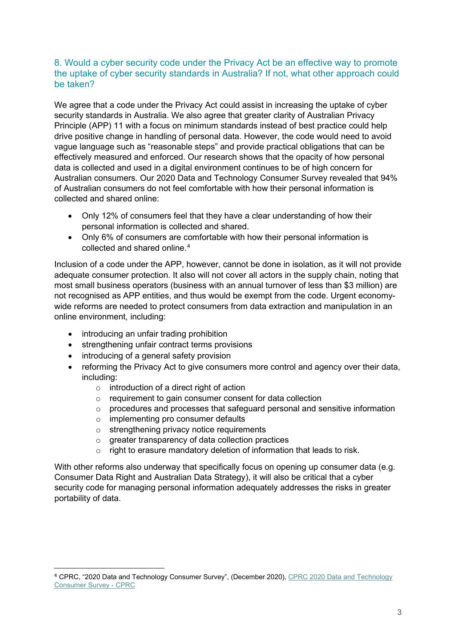### 8. Would a cyber security code under the Privacy Act be an effective way to promote the uptake of cyber security standards in Australia? If not, what other approach could be taken?

We agree that a code under the Privacy Act could assist in increasing the uptake of cyber security standards in Australia. We also agree that greater clarity of Australian Privacy Principle (APP) 11 with a focus on minimum standards instead of best practice could help drive positive change in handling of personal data. However, the code would need to avoid vague language such as "reasonable steps" and provide practical obligations that can be effectively measured and enforced. Our research shows that the opacity of how personal data is collected and used in a digital environment continues to be of high concern for Australian consumers. Our 2020 Data and Technology Consumer Survey revealed that 94% of Australian consumers do not feel comfortable with how their personal information is collected and shared online:

- Only 12% of consumers feel that they have a clear understanding of how their personal information is collected and shared.
- Only 6% of consumers are comfortable with how their personal information is collected and shared online.[4](#page-2-0)

Inclusion of a code under the APP, however, cannot be done in isolation, as it will not provide adequate consumer protection. It also will not cover all actors in the supply chain, noting that most small business operators (business with an annual turnover of less than \$3 million) are not recognised as APP entities, and thus would be exempt from the code. Urgent economywide reforms are needed to protect consumers from data extraction and manipulation in an online environment, including:

- introducing an unfair trading prohibition
- strengthening unfair contract terms provisions
- introducing of a general safety provision
- reforming the Privacy Act to give consumers more control and agency over their data, including:
	- $\circ$  introduction of a direct right of action
	- o requirement to gain consumer consent for data collection
	- o procedures and processes that safeguard personal and sensitive information
	- o implementing pro consumer defaults
	- o strengthening privacy notice requirements
	- o greater transparency of data collection practices
	- $\circ$  right to erasure mandatory deletion of information that leads to risk.

With other reforms also underway that specifically focus on opening up consumer data (e.g. Consumer Data Right and Australian Data Strategy), it will also be critical that a cyber security code for managing personal information adequately addresses the risks in greater portability of data.

<span id="page-2-0"></span><sup>4</sup> CPRC, "2020 Data and Technology Consumer Survey", (December 2020)[, CPRC 2020 Data and Technology](https://cprc.org.au/publications/cprc-2020-data-and-technology-consumer-survey/)  [Consumer Survey -](https://cprc.org.au/publications/cprc-2020-data-and-technology-consumer-survey/) CPRC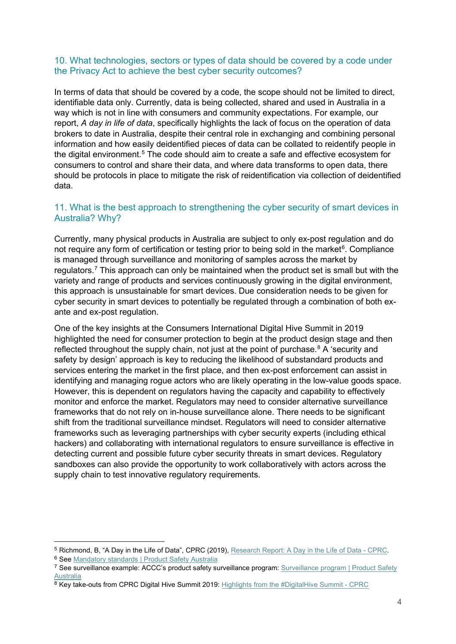#### 10. What technologies, sectors or types of data should be covered by a code under the Privacy Act to achieve the best cyber security outcomes?

In terms of data that should be covered by a code, the scope should not be limited to direct, identifiable data only. Currently, data is being collected, shared and used in Australia in a way which is not in line with consumers and community expectations. For example, our report, *A day in life of data*, specifically highlights the lack of focus on the operation of data brokers to date in Australia, despite their central role in exchanging and combining personal information and how easily deidentified pieces of data can be collated to reidentify people in the digital environment.<sup>[5](#page-3-0)</sup> The code should aim to create a safe and effective ecosystem for consumers to control and share their data, and where data transforms to open data, there should be protocols in place to mitigate the risk of reidentification via collection of deidentified data.

# 11. What is the best approach to strengthening the cyber security of smart devices in Australia? Why?

Currently, many physical products in Australia are subject to only ex-post regulation and do not require any form of certification or testing prior to being sold in the market<sup>[6](#page-3-1)</sup>. Compliance is managed through surveillance and monitoring of samples across the market by regulators.<sup>[7](#page-3-2)</sup> This approach can only be maintained when the product set is small but with the variety and range of products and services continuously growing in the digital environment, this approach is unsustainable for smart devices. Due consideration needs to be given for cyber security in smart devices to potentially be regulated through a combination of both exante and ex-post regulation.

One of the key insights at the Consumers International Digital Hive Summit in 2019 highlighted the need for consumer protection to begin at the product design stage and then reflected throughout the supply chain, not just at the point of purchase.<sup>8</sup> A 'security and safety by design' approach is key to reducing the likelihood of substandard products and services entering the market in the first place, and then ex-post enforcement can assist in identifying and managing rogue actors who are likely operating in the low-value goods space. However, this is dependent on regulators having the capacity and capability to effectively monitor and enforce the market. Regulators may need to consider alternative surveillance frameworks that do not rely on in-house surveillance alone. There needs to be significant shift from the traditional surveillance mindset. Regulators will need to consider alternative frameworks such as leveraging partnerships with cyber security experts (including ethical hackers) and collaborating with international regulators to ensure surveillance is effective in detecting current and possible future cyber security threats in smart devices. Regulatory sandboxes can also provide the opportunity to work collaboratively with actors across the supply chain to test innovative regulatory requirements.

<span id="page-3-0"></span><sup>5</sup> Richmond, B, "A Day in the Life of Data", CPRC (2019)[, Research Report: A Day in the Life of Data -](https://cprc.org.au/publications/research-report-a-day-in-the-life-of-data/) CPRC.

<span id="page-3-1"></span><sup>6</sup> See [Mandatory standards | Product Safety Australia](https://www.productsafety.gov.au/product-safety-laws/safety-standards-bans/mandatory-standards)

<span id="page-3-2"></span><sup>7</sup> See surveillance example: ACCC's product safety surveillance program: [Surveillance program | Product Safety](https://www.productsafety.gov.au/product-safety-laws/compliance-surveillance/surveillance-program)  [Australia](https://www.productsafety.gov.au/product-safety-laws/compliance-surveillance/surveillance-program)

<span id="page-3-3"></span> $8$  Key take-outs from CPRC Digital Hive Summit 2019: [Highlights from the #DigitalHive Summit -](https://cprc.org.au/2019/04/30/highlights-from-the-digitalhive-summit-2/) CPRC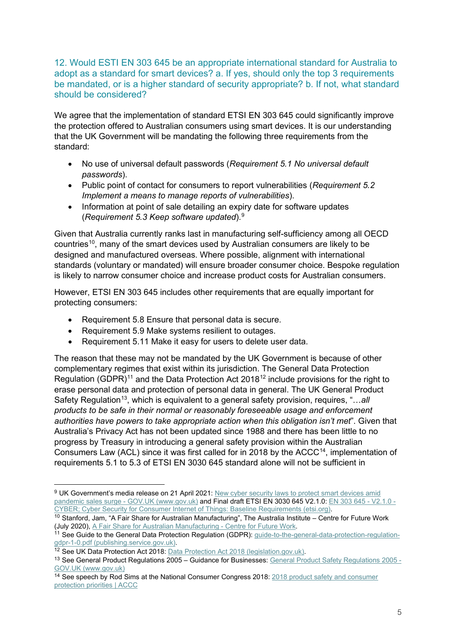12. Would ESTI EN 303 645 be an appropriate international standard for Australia to adopt as a standard for smart devices? a. If yes, should only the top 3 requirements be mandated, or is a higher standard of security appropriate? b. If not, what standard should be considered?

We agree that the implementation of standard ETSI EN 303 645 could significantly improve the protection offered to Australian consumers using smart devices. It is our understanding that the UK Government will be mandating the following three requirements from the standard:

- No use of universal default passwords (*Requirement 5.1 No universal default passwords*).
- Public point of contact for consumers to report vulnerabilities (*Requirement 5.2 Implement a means to manage reports of vulnerabilities*).
- Information at point of sale detailing an expiry date for software updates (*Requirement 5.3 Keep software updated*). [9](#page-4-0)

Given that Australia currently ranks last in manufacturing self-sufficiency among all OECD countries<sup>10</sup>, many of the smart devices used by Australian consumers are likely to be designed and manufactured overseas. Where possible, alignment with international standards (voluntary or mandated) will ensure broader consumer choice. Bespoke regulation is likely to narrow consumer choice and increase product costs for Australian consumers.

However, ETSI EN 303 645 includes other requirements that are equally important for protecting consumers:

- Requirement 5.8 Ensure that personal data is secure.
- Requirement 5.9 Make systems resilient to outages.
- Requirement 5.11 Make it easy for users to delete user data.

The reason that these may not be mandated by the UK Government is because of other complementary regimes that exist within its jurisdiction. The General Data Protection Regulation (GDPR)<sup>[11](#page-4-2)</sup> and the Data Protection Act 2018<sup>12</sup> include provisions for the right to erase personal data and protection of personal data in general. The UK General Product Safety Regulation<sup>13</sup>, which is equivalent to a general safety provision, requires, "...all *products to be safe in their normal or reasonably foreseeable usage and enforcement authorities have powers to take appropriate action when this obligation isn't met*". Given that Australia's Privacy Act has not been updated since 1988 and there has been little to no progress by Treasury in introducing a general safety provision within the Australian Consumers Law (ACL) since it was first called for in 2018 by the ACCC<sup>14</sup>, implementation of requirements 5.1 to 5.3 of ETSI EN 3030 645 standard alone will not be sufficient in

<span id="page-4-0"></span><sup>&</sup>lt;sup>9</sup> UK Government's media release on 21 April 2021: New cyber security laws to protect smart devices amid [pandemic sales surge -](https://www.gov.uk/government/news/new-cyber-security-laws-to-protect-smart-devices-amid-pandemic-sales-surge) GOV.UK (www.gov.uk) and Final draft ETSI EN 3030 645 V2.1.0[: EN 303 645 -](https://www.etsi.org/deliver/etsi_en/303600_303699/303645/02.01.00_30/en_303645v020100v.pdf) V2.1.0 -[CYBER; Cyber Security for Consumer Internet of Things: Baseline Requirements \(etsi.org\).](https://www.etsi.org/deliver/etsi_en/303600_303699/303645/02.01.00_30/en_303645v020100v.pdf)

<span id="page-4-1"></span><sup>10</sup> Stanford, Jam, "A Fair Share for Australian Manufacturing", The Australia Institute – Centre for Future Work (July 2020), [A Fair Share for Australian Manufacturing -](https://www.futurework.org.au/a_fair_share_for_australian_manfacturing) Centre for Future Work.

<span id="page-4-2"></span><sup>&</sup>lt;sup>11</sup> See Guide to the General Data Protection Regulation (GDPR): [guide-to-the-general-data-protection-regulation](https://assets.publishing.service.gov.uk/government/uploads/system/uploads/attachment_data/file/711097/guide-to-the-general-data-protection-regulation-gdpr-1-0.pdf)[gdpr-1-0.pdf \(publishing.service.gov.uk\).](https://assets.publishing.service.gov.uk/government/uploads/system/uploads/attachment_data/file/711097/guide-to-the-general-data-protection-regulation-gdpr-1-0.pdf)

<span id="page-4-3"></span><sup>&</sup>lt;sup>12</sup> See UK Data Protection Act 2018[: Data Protection Act 2018 \(legislation.gov.uk\).](https://www.legislation.gov.uk/ukpga/2018/12/contents)

<span id="page-4-4"></span><sup>13</sup> See General Product Regulations 2005 – Guidance for Businesses[: General Product Safety Regulations 2005 -](https://www.gov.uk/government/publications/general-product-safety-regulations-2005) [GOV.UK \(www.gov.uk\)](https://www.gov.uk/government/publications/general-product-safety-regulations-2005)

<span id="page-4-5"></span><sup>&</sup>lt;sup>14</sup> See speech by Rod Sims at the National Consumer Congress 2018: 2018 product safety and consumer [protection priorities | ACCC](https://www.accc.gov.au/speech/2018-product-safety-and-consumer-protection-priorities)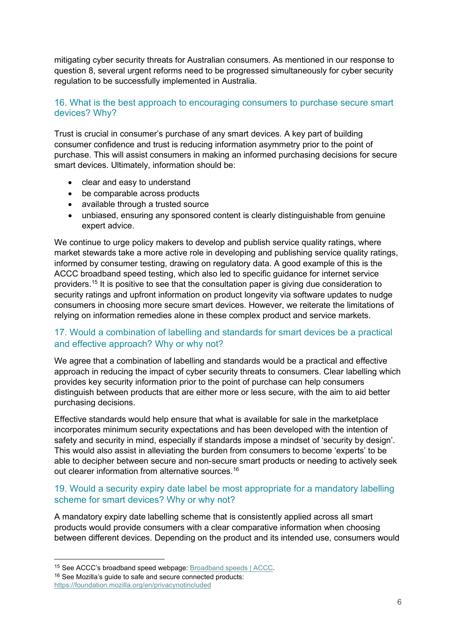mitigating cyber security threats for Australian consumers. As mentioned in our response to question 8, several urgent reforms need to be progressed simultaneously for cyber security regulation to be successfully implemented in Australia.

# 16. What is the best approach to encouraging consumers to purchase secure smart devices? Why?

Trust is crucial in consumer's purchase of any smart devices. A key part of building consumer confidence and trust is reducing information asymmetry prior to the point of purchase. This will assist consumers in making an informed purchasing decisions for secure smart devices. Ultimately, information should be:

- clear and easy to understand
- be comparable across products
- available through a trusted source
- unbiased, ensuring any sponsored content is clearly distinguishable from genuine expert advice.

We continue to urge policy makers to develop and publish service quality ratings, where market stewards take a more active role in developing and publishing service quality ratings, informed by consumer testing, drawing on regulatory data. A good example of this is the ACCC broadband speed testing, which also led to specific guidance for internet service providers.[15](#page-5-0) It is positive to see that the consultation paper is giving due consideration to security ratings and upfront information on product longevity via software updates to nudge consumers in choosing more secure smart devices. However, we reiterate the limitations of relying on information remedies alone in these complex product and service markets.

# 17. Would a combination of labelling and standards for smart devices be a practical and effective approach? Why or why not?

We agree that a combination of labelling and standards would be a practical and effective approach in reducing the impact of cyber security threats to consumers. Clear labelling which provides key security information prior to the point of purchase can help consumers distinguish between products that are either more or less secure, with the aim to aid better purchasing decisions.

Effective standards would help ensure that what is available for sale in the marketplace incorporates minimum security expectations and has been developed with the intention of safety and security in mind, especially if standards impose a mindset of 'security by design'. This would also assist in alleviating the burden from consumers to become 'experts' to be able to decipher between secure and non-secure smart products or needing to actively seek out clearer information from alternative sources. [16](#page-5-1)

# 19. Would a security expiry date label be most appropriate for a mandatory labelling scheme for smart devices? Why or why not?

A mandatory expiry date labelling scheme that is consistently applied across all smart products would provide consumers with a clear comparative information when choosing between different devices. Depending on the product and its intended use, consumers would

<span id="page-5-0"></span><sup>15</sup> See ACCC's broadband speed webpage: [Broadband speeds | ACCC.](https://www.accc.gov.au/consumers/internet-landline-services/broadband-speeds)

<span id="page-5-1"></span><sup>16</sup> See Mozilla's guide to safe and secure connected products: <https://foundation.mozilla.org/en/privacynotincluded>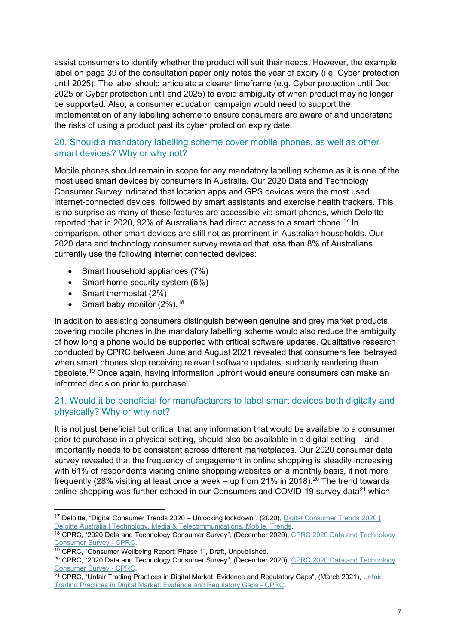assist consumers to identify whether the product will suit their needs. However, the example label on page 39 of the consultation paper only notes the year of expiry (i.e. Cyber protection until 2025). The label should articulate a clearer timeframe (e.g. Cyber protection until Dec 2025 or Cyber protection until end 2025) to avoid ambiguity of when product may no longer be supported. Also, a consumer education campaign would need to support the implementation of any labelling scheme to ensure consumers are aware of and understand the risks of using a product past its cyber protection expiry date.

# 20. Should a mandatory labelling scheme cover mobile phones, as well as other smart devices? Why or why not?

Mobile phones should remain in scope for any mandatory labelling scheme as it is one of the most used smart devices by consumers in Australia. Our 2020 Data and Technology Consumer Survey indicated that location apps and GPS devices were the most used internet-connected devices, followed by smart assistants and exercise health trackers. This is no surprise as many of these features are accessible via smart phones, which Deloitte reported that in 2020, 92% of Australians had direct access to a smart phone.[17](#page-6-0) In comparison, other smart devices are still not as prominent in Australian households. Our 2020 data and technology consumer survey revealed that less than 8% of Australians currently use the following internet connected devices:

- Smart household appliances (7%)
- Smart home security system (6%)
- Smart thermostat (2%)
- Smart baby monitor  $(2\%)$ .<sup>[18](#page-6-1)</sup>

In addition to assisting consumers distinguish between genuine and grey market products, covering mobile phones in the mandatory labelling scheme would also reduce the ambiguity of how long a phone would be supported with critical software updates. Qualitative research conducted by CPRC between June and August 2021 revealed that consumers feel betrayed when smart phones stop receiving relevant software updates, suddenly rendering them obsolete.[19](#page-6-2) Once again, having information upfront would ensure consumers can make an informed decision prior to purchase.

# 21. Would it be beneficial for manufacturers to label smart devices both digitally and physically? Why or why not?

It is not just beneficial but critical that any information that would be available to a consumer prior to purchase in a physical setting, should also be available in a digital setting – and importantly needs to be consistent across different marketplaces. Our 2020 consumer data survey revealed that the frequency of engagement in online shopping is steadily increasing with 61% of respondents visiting online shopping websites on a monthly basis, if not more frequently (28% visiting at least once a week – up from 21% in [20](#page-6-3)18).<sup>20</sup> The trend towards online shopping was further echoed in our Consumers and COVID-19 survey data<sup>[21](#page-6-4)</sup> which

<span id="page-6-0"></span><sup>17</sup> Deloitte, "Digital Consumer Trends 2020 – Unlocking lockdown", (2020), [Digital Consumer Trends 2020 |](https://www2.deloitte.com/au/en/pages/technology-media-and-telecommunications/articles/digitalconsumertrends.html)  [Deloitte Australia | Technology, Media & Telecommunications, Mobile, Trends.](https://www2.deloitte.com/au/en/pages/technology-media-and-telecommunications/articles/digitalconsumertrends.html)

<span id="page-6-1"></span><sup>18</sup> CPRC, "2020 Data and Technology Consumer Survey", (December 2020), CPRC 2020 Data and Technology [Consumer Survey -](https://cprc.org.au/publications/cprc-2020-data-and-technology-consumer-survey/) CPRC.

<span id="page-6-2"></span><sup>&</sup>lt;sup>19</sup> CPRC, "Consumer Wellbeing Report: Phase 1", Draft, Unpublished.

<span id="page-6-3"></span><sup>&</sup>lt;sup>20</sup> CPRC, "2020 Data and Technology Consumer Survey", (December 2020), CPRC 2020 Data and Technology [Consumer Survey -](https://cprc.org.au/publications/cprc-2020-data-and-technology-consumer-survey/) CPRC.

<span id="page-6-4"></span><sup>&</sup>lt;sup>21</sup> CPRC, "Unfair Trading Practices in Digital Market: Evidence and Regulatory Gaps", (March 2021), Unfair [Trading Practices in Digital Market: Evidence and Regulatory Gaps -](https://cprc.org.au/publications/unfair-trading-practices-in-digital-market-evidence-and-regulatory-gaps/) CPRC.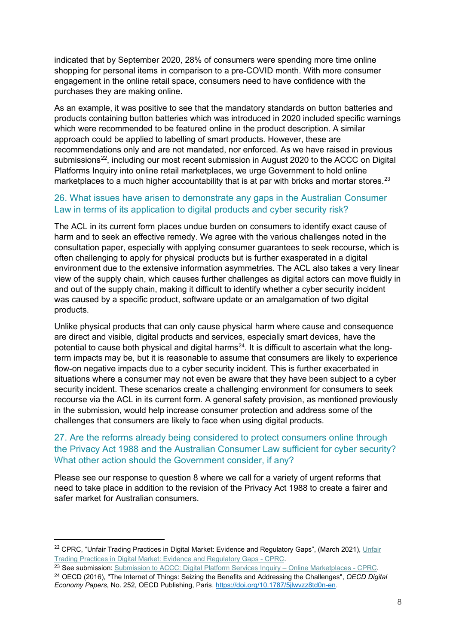indicated that by September 2020, 28% of consumers were spending more time online shopping for personal items in comparison to a pre-COVID month. With more consumer engagement in the online retail space, consumers need to have confidence with the purchases they are making online.

As an example, it was positive to see that the mandatory standards on button batteries and products containing button batteries which was introduced in 2020 included specific warnings which were recommended to be featured online in the product description. A similar approach could be applied to labelling of smart products. However, these are recommendations only and are not mandated, nor enforced. As we have raised in previous submissions<sup>22</sup>, including our most recent submission in August 2020 to the ACCC on Digital Platforms Inquiry into online retail marketplaces, we urge Government to hold online marketplaces to a much higher accountability that is at par with bricks and mortar stores.<sup>[23](#page-7-1)</sup>

# 26. What issues have arisen to demonstrate any gaps in the Australian Consumer Law in terms of its application to digital products and cyber security risk?

The ACL in its current form places undue burden on consumers to identify exact cause of harm and to seek an effective remedy. We agree with the various challenges noted in the consultation paper, especially with applying consumer guarantees to seek recourse, which is often challenging to apply for physical products but is further exasperated in a digital environment due to the extensive information asymmetries. The ACL also takes a very linear view of the supply chain, which causes further challenges as digital actors can move fluidly in and out of the supply chain, making it difficult to identify whether a cyber security incident was caused by a specific product, software update or an amalgamation of two digital products.

Unlike physical products that can only cause physical harm where cause and consequence are direct and visible, digital products and services, especially smart devices, have the potential to cause both physical and digital harms<sup>[24](#page-7-2)</sup>. It is difficult to ascertain what the longterm impacts may be, but it is reasonable to assume that consumers are likely to experience flow-on negative impacts due to a cyber security incident. This is further exacerbated in situations where a consumer may not even be aware that they have been subject to a cyber security incident. These scenarios create a challenging environment for consumers to seek recourse via the ACL in its current form. A general safety provision, as mentioned previously in the submission, would help increase consumer protection and address some of the challenges that consumers are likely to face when using digital products.

# 27. Are the reforms already being considered to protect consumers online through the Privacy Act 1988 and the Australian Consumer Law sufficient for cyber security? What other action should the Government consider, if any?

Please see our response to question 8 where we call for a variety of urgent reforms that need to take place in addition to the revision of the Privacy Act 1988 to create a fairer and safer market for Australian consumers.

<span id="page-7-0"></span><sup>&</sup>lt;sup>22</sup> CPRC, "Unfair Trading Practices in Digital Market: Evidence and Regulatory Gaps", (March 2021), Unfair [Trading Practices in Digital Market: Evidence and Regulatory Gaps -](https://cprc.org.au/publications/unfair-trading-practices-in-digital-market-evidence-and-regulatory-gaps/) CPRC.

<span id="page-7-1"></span><sup>&</sup>lt;sup>23</sup> See submission: [Submission to ACCC: Digital Platform Services Inquiry –](https://cprc.org.au/publications/submission-to-accc-digital-platform-services-inquiry-online-marketplaces/) Online Marketplaces - CPRC.

<span id="page-7-2"></span><sup>24</sup> OECD (2016), "The Internet of Things: Seizing the Benefits and Addressing the Challenges", *OECD Digital Economy Papers*, No. 252, OECD Publishing, Paris, [https://doi.org/10.1787/5jlwvzz8td0n-en.](https://doi.org/10.1787/5jlwvzz8td0n-en)